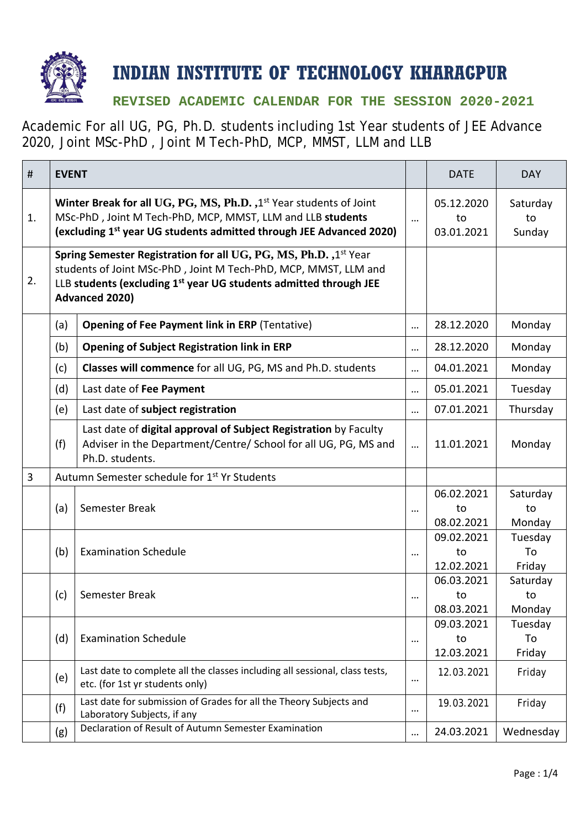

## **INDIAN INSTITUTE OF TECHNOLOGY KHARAGPUR**

## **REVISED ACADEMIC CALENDAR FOR THE SESSION 2020-2021**

Academic For all UG, PG, Ph.D. students including 1st Year students of JEE Advance 2020, Joint MSc-PhD , Joint M Tech-PhD, MCP, MMST, LLM and LLB

| #  | <b>EVENT</b>                                                                                                                                                                                                                                  |                                                                                                                                                        |          | <b>DATE</b>                    | <b>DAY</b>               |
|----|-----------------------------------------------------------------------------------------------------------------------------------------------------------------------------------------------------------------------------------------------|--------------------------------------------------------------------------------------------------------------------------------------------------------|----------|--------------------------------|--------------------------|
| 1. | Winter Break for all UG, PG, MS, Ph.D., 1 <sup>st</sup> Year students of Joint<br>MSc-PhD, Joint M Tech-PhD, MCP, MMST, LLM and LLB students<br>(excluding 1 <sup>st</sup> year UG students admitted through JEE Advanced 2020)               |                                                                                                                                                        | $\cdots$ | 05.12.2020<br>to<br>03.01.2021 | Saturday<br>to<br>Sunday |
| 2. | Spring Semester Registration for all UG, PG, MS, Ph.D., 1st Year<br>students of Joint MSc-PhD, Joint M Tech-PhD, MCP, MMST, LLM and<br>LLB students (excluding 1 <sup>st</sup> year UG students admitted through JEE<br><b>Advanced 2020)</b> |                                                                                                                                                        |          |                                |                          |
|    | (a)                                                                                                                                                                                                                                           | <b>Opening of Fee Payment link in ERP (Tentative)</b>                                                                                                  | $\cdots$ | 28.12.2020                     | Monday                   |
|    | (b)                                                                                                                                                                                                                                           | <b>Opening of Subject Registration link in ERP</b>                                                                                                     |          | 28.12.2020                     | Monday                   |
|    | (c)                                                                                                                                                                                                                                           | Classes will commence for all UG, PG, MS and Ph.D. students                                                                                            | $\cdots$ | 04.01.2021                     | Monday                   |
|    | (d)                                                                                                                                                                                                                                           | Last date of Fee Payment                                                                                                                               |          | 05.01.2021                     | Tuesday                  |
|    | (e)                                                                                                                                                                                                                                           | Last date of subject registration                                                                                                                      | $\cdots$ | 07.01.2021                     | Thursday                 |
|    | (f)                                                                                                                                                                                                                                           | Last date of digital approval of Subject Registration by Faculty<br>Adviser in the Department/Centre/ School for all UG, PG, MS and<br>Ph.D. students. | $\cdots$ | 11.01.2021                     | Monday                   |
| 3  |                                                                                                                                                                                                                                               | Autumn Semester schedule for 1 <sup>st</sup> Yr Students                                                                                               |          |                                |                          |
|    | (a)                                                                                                                                                                                                                                           | Semester Break                                                                                                                                         | $\cdots$ | 06.02.2021<br>to<br>08.02.2021 | Saturday<br>to<br>Monday |
|    | (b)                                                                                                                                                                                                                                           | <b>Examination Schedule</b>                                                                                                                            | $\cdots$ | 09.02.2021<br>to<br>12.02.2021 | Tuesday<br>To<br>Friday  |
|    | (c)                                                                                                                                                                                                                                           | Semester Break                                                                                                                                         | $\cdots$ | 06.03.2021<br>to<br>08.03.2021 | Saturday<br>to<br>Monday |
|    | (d)                                                                                                                                                                                                                                           | <b>Examination Schedule</b>                                                                                                                            | $\cdots$ | 09.03.2021<br>to<br>12.03.2021 | Tuesday<br>To<br>Friday  |
|    | (e)                                                                                                                                                                                                                                           | Last date to complete all the classes including all sessional, class tests,<br>etc. (for 1st yr students only)                                         | $\cdots$ | 12.03.2021                     | Friday                   |
|    | (f)                                                                                                                                                                                                                                           | Last date for submission of Grades for all the Theory Subjects and<br>Laboratory Subjects, if any                                                      |          | 19.03.2021                     | Friday                   |
|    | (g)                                                                                                                                                                                                                                           | Declaration of Result of Autumn Semester Examination                                                                                                   |          | 24.03.2021                     | Wednesday                |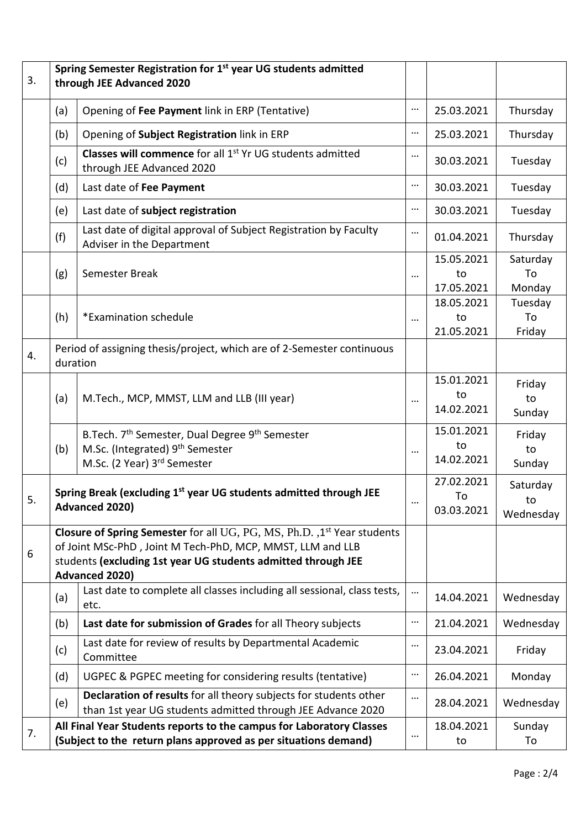| 3. | Spring Semester Registration for 1 <sup>st</sup> year UG students admitted<br>through JEE Advanced 2020                                                                                                                         |                                                                                                                                           |          |                                |                             |  |  |
|----|---------------------------------------------------------------------------------------------------------------------------------------------------------------------------------------------------------------------------------|-------------------------------------------------------------------------------------------------------------------------------------------|----------|--------------------------------|-----------------------------|--|--|
|    | (a)                                                                                                                                                                                                                             | Opening of Fee Payment link in ERP (Tentative)                                                                                            | $\cdots$ | 25.03.2021                     | Thursday                    |  |  |
|    | (b)                                                                                                                                                                                                                             | Opening of Subject Registration link in ERP                                                                                               | $\cdots$ | 25.03.2021                     | Thursday                    |  |  |
|    | (c)                                                                                                                                                                                                                             | <b>Classes will commence</b> for all 1 <sup>st</sup> Yr UG students admitted<br>through JEE Advanced 2020                                 | $\cdots$ | 30.03.2021                     | Tuesday                     |  |  |
|    | (d)                                                                                                                                                                                                                             | Last date of Fee Payment                                                                                                                  |          | 30.03.2021                     | Tuesday                     |  |  |
|    | (e)                                                                                                                                                                                                                             | Last date of subject registration                                                                                                         | $\cdots$ | 30.03.2021                     | Tuesday                     |  |  |
|    | (f)                                                                                                                                                                                                                             | Last date of digital approval of Subject Registration by Faculty<br>Adviser in the Department                                             | $\cdots$ | 01.04.2021                     | Thursday                    |  |  |
|    | (g)                                                                                                                                                                                                                             | Semester Break                                                                                                                            |          | 15.05.2021<br>to<br>17.05.2021 | Saturday<br>To<br>Monday    |  |  |
|    | (h)                                                                                                                                                                                                                             | *Examination schedule                                                                                                                     | $\cdots$ | 18.05.2021<br>to<br>21.05.2021 | Tuesday<br>To<br>Friday     |  |  |
| 4. | duration                                                                                                                                                                                                                        | Period of assigning thesis/project, which are of 2-Semester continuous                                                                    |          |                                |                             |  |  |
|    | (a)                                                                                                                                                                                                                             | M.Tech., MCP, MMST, LLM and LLB (III year)                                                                                                | $\cdots$ | 15.01.2021<br>to<br>14.02.2021 | Friday<br>to<br>Sunday      |  |  |
|    | (b)                                                                                                                                                                                                                             | B. Tech. 7 <sup>th</sup> Semester, Dual Degree 9 <sup>th</sup> Semester<br>M.Sc. (Integrated) 9th Semester<br>M.Sc. (2 Year) 3rd Semester | $\cdots$ | 15.01.2021<br>to<br>14.02.2021 | Friday<br>to<br>Sunday      |  |  |
| 5. | Spring Break (excluding 1 <sup>st</sup> year UG students admitted through JEE<br>Advanced 2020)                                                                                                                                 |                                                                                                                                           | $\cdots$ | 27.02.2021<br>To<br>03.03.2021 | Saturday<br>to<br>Wednesday |  |  |
| 6  | Closure of Spring Semester for all UG, PG, MS, Ph.D., 1st Year students<br>of Joint MSc-PhD, Joint M Tech-PhD, MCP, MMST, LLM and LLB<br>students (excluding 1st year UG students admitted through JEE<br><b>Advanced 2020)</b> |                                                                                                                                           |          |                                |                             |  |  |
|    | (a)                                                                                                                                                                                                                             | Last date to complete all classes including all sessional, class tests,<br>etc.                                                           |          | 14.04.2021                     | Wednesday                   |  |  |
|    | (b)                                                                                                                                                                                                                             | Last date for submission of Grades for all Theory subjects                                                                                | $\cdots$ | 21.04.2021                     | Wednesday                   |  |  |
|    | (c)                                                                                                                                                                                                                             | Last date for review of results by Departmental Academic<br>Committee                                                                     | $\cdots$ | 23.04.2021                     | Friday                      |  |  |
|    | (d)                                                                                                                                                                                                                             | UGPEC & PGPEC meeting for considering results (tentative)                                                                                 |          | 26.04.2021                     | Monday                      |  |  |
|    | (e)                                                                                                                                                                                                                             | Declaration of results for all theory subjects for students other<br>than 1st year UG students admitted through JEE Advance 2020          |          | 28.04.2021                     | Wednesday                   |  |  |
| 7. |                                                                                                                                                                                                                                 | All Final Year Students reports to the campus for Laboratory Classes<br>(Subject to the return plans approved as per situations demand)   | $\cdots$ | 18.04.2021<br>to               | Sunday<br>To                |  |  |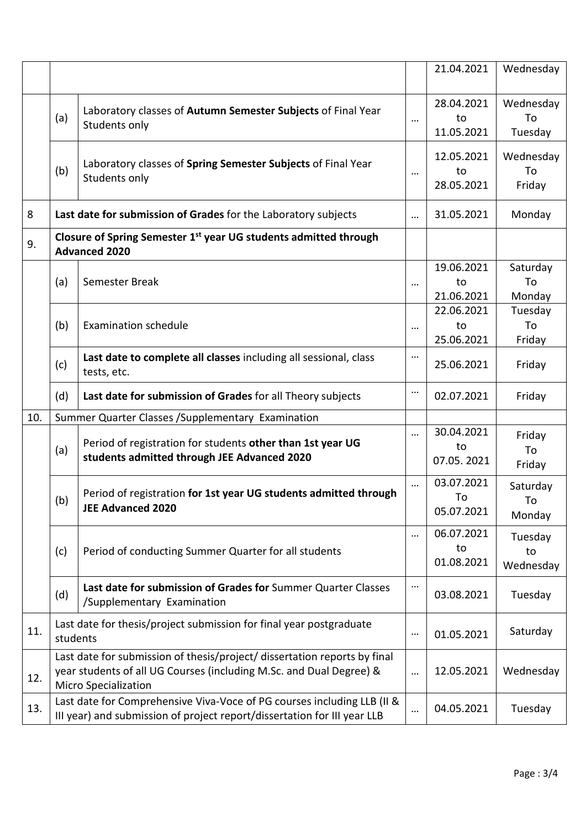|     |                                                                                                                                                                                 |                                                                                                                                                                 |          | 21.04.2021                     | Wednesday                  |
|-----|---------------------------------------------------------------------------------------------------------------------------------------------------------------------------------|-----------------------------------------------------------------------------------------------------------------------------------------------------------------|----------|--------------------------------|----------------------------|
|     | (a)                                                                                                                                                                             | Laboratory classes of Autumn Semester Subjects of Final Year<br>Students only                                                                                   | $\cdots$ | 28.04.2021<br>to<br>11.05.2021 | Wednesday<br>To<br>Tuesday |
|     | (b)                                                                                                                                                                             | Laboratory classes of Spring Semester Subjects of Final Year<br>Students only                                                                                   | $\cdots$ | 12.05.2021<br>to<br>28.05.2021 | Wednesday<br>To<br>Friday  |
| 8   |                                                                                                                                                                                 | Last date for submission of Grades for the Laboratory subjects                                                                                                  |          | 31.05.2021                     | Monday                     |
| 9.  | Closure of Spring Semester 1 <sup>st</sup> year UG students admitted through<br><b>Advanced 2020</b>                                                                            |                                                                                                                                                                 |          |                                |                            |
| 10. | (a)                                                                                                                                                                             | Semester Break                                                                                                                                                  | $\cdots$ | 19.06.2021<br>to<br>21.06.2021 | Saturday<br>To<br>Monday   |
|     | (b)                                                                                                                                                                             | <b>Examination schedule</b>                                                                                                                                     |          | 22.06.2021<br>to<br>25.06.2021 | Tuesday<br>To<br>Friday    |
|     | (c)                                                                                                                                                                             | Last date to complete all classes including all sessional, class<br>tests, etc.                                                                                 | $\cdots$ | 25.06.2021                     | Friday                     |
|     | (d)                                                                                                                                                                             | Last date for submission of Grades for all Theory subjects                                                                                                      |          | 02.07.2021                     | Friday                     |
|     | (a)                                                                                                                                                                             | Summer Quarter Classes / Supplementary Examination<br>Period of registration for students other than 1st year UG<br>students admitted through JEE Advanced 2020 |          | 30.04.2021<br>to<br>07.05.2021 | Friday<br>To<br>Friday     |
|     | (b)                                                                                                                                                                             | Period of registration for 1st year UG students admitted through<br><b>JEE Advanced 2020</b>                                                                    |          | 03.07.2021<br>To<br>05.07.2021 | Saturday<br>To<br>Monday   |
|     | (c)                                                                                                                                                                             | Period of conducting Summer Quarter for all students                                                                                                            |          | 06.07.2021<br>to<br>01.08.2021 | Tuesday<br>to<br>Wednesday |
|     | (d)                                                                                                                                                                             | Last date for submission of Grades for Summer Quarter Classes<br>/Supplementary Examination                                                                     | $\cdots$ | 03.08.2021                     | Tuesday                    |
| 11. | Last date for thesis/project submission for final year postgraduate<br>students                                                                                                 |                                                                                                                                                                 | $\cdots$ | 01.05.2021                     | Saturday                   |
| 12. | Last date for submission of thesis/project/ dissertation reports by final<br>year students of all UG Courses (including M.Sc. and Dual Degree) &<br><b>Micro Specialization</b> |                                                                                                                                                                 |          | 12.05.2021                     | Wednesday                  |
| 13. | Last date for Comprehensive Viva-Voce of PG courses including LLB (II &<br>III year) and submission of project report/dissertation for III year LLB                             |                                                                                                                                                                 |          | 04.05.2021                     | Tuesday                    |